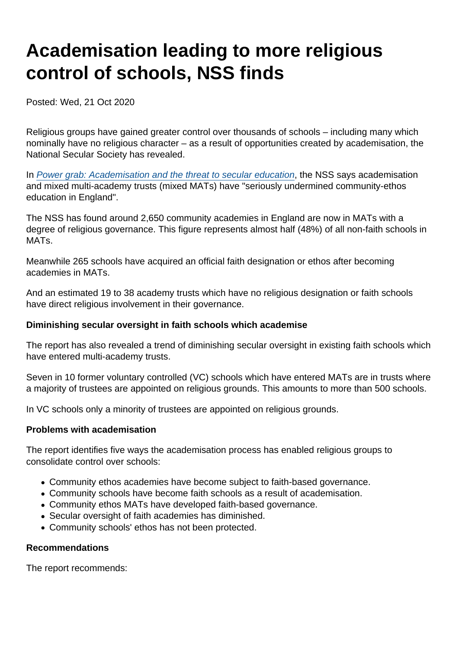# Academisation leading to more religious control of schools, NSS finds

Posted: Wed, 21 Oct 2020

Religious groups have gained greater control over thousands of schools – including many which nominally have no religious character – as a result of opportunities created by academisation, the National Secular Society has revealed.

In [Power grab: Academisation and the threat to secular education](https://www.secularism.org.uk/faith-schools/academisation.html), the NSS says academisation and mixed multi-academy trusts (mixed MATs) have "seriously undermined community-ethos education in England".

The NSS has found around 2,650 community academies in England are now in MATs with a degree of religious governance. This figure represents almost half (48%) of all non-faith schools in MATs.

Meanwhile 265 schools have acquired an official faith designation or ethos after becoming academies in MATs.

And an estimated 19 to 38 academy trusts which have no religious designation or faith schools have direct religious involvement in their governance.

Diminishing secular oversight in faith schools which academise

The report has also revealed a trend of diminishing secular oversight in existing faith schools which have entered multi-academy trusts.

Seven in 10 former voluntary controlled (VC) schools which have entered MATs are in trusts where a majority of trustees are appointed on religious grounds. This amounts to more than 500 schools.

In VC schools only a minority of trustees are appointed on religious grounds.

Problems with academisation

The report identifies five ways the academisation process has enabled religious groups to consolidate control over schools:

- Community ethos academies have become subject to faith-based governance.
- Community schools have become faith schools as a result of academisation.
- Community ethos MATs have developed faith-based governance.
- Secular oversight of faith academies has diminished.
- Community schools' ethos has not been protected.

Recommendations

The report recommends: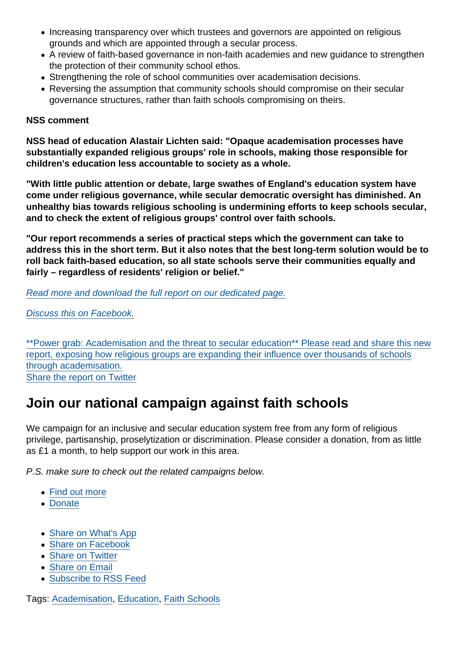- [Increasing transparency over which trustees and governors are appointed on religious](https://twitter.com/intent/tweet?url=https://www.secularism.org.uk/faith-schools/academisation&text=**Power+grab:+Academisation+and+the+threat+to+secular+education**+Please+read+and+share+this+new+report,+exposing+how+religious+groups+are+expanding+their+influence+over+thousands+of+schools+through+academisation.&via=NatSecSoc) grounds and which are appointed through a secular process.
- A review of faith-based governance in non-faith academies and new guidance to strengthen the protection of their community school ethos.
- Strengthening the role of school communities over academisation decisions.
- Reversing the assumption that community schools should compromise on their secular governance structures, rather than faith schools compromising on theirs.

#### NSS comment

NSS head of education Alastair Lichten said: "Opaque academisation processes have substantially expanded religious groups' role in schools, making those responsible for children's education less accountable to society as a whole.

"With little public attention or debate, large swathes of England's education system have come under religious governance, while secular democratic oversight has diminished. An unhealthy bias towards religious schooling is undermining efforts to keep schools secular, and to check the extent of religious groups' control over faith schools.

"Our report recommends a series of practical steps which the government can take to address this in the short term. But it also notes that the best long-term solution would be to roll back faith-based education, so all state schools serve their communities equally and fairly – regardless of residents' religion or belief."

[Read more and download the full report on our dedicated page.](https://www.secularism.org.uk/faith-schools/academisation.html)

[Discuss this on Facebook.](https://www.facebook.com/NationalSecularSociety/posts/3423344254400568)

\*\*Power grab: Academisation and the threat to secular education\*\* Please read and share this new report, exposing how religious groups are expanding their influence over thousands of schools through academisation. Share the report on Twitter

### Join our national campaign against faith schools

We campaign for an inclusive and secular education system free from any form of religious privilege, partisanship, proselytization or discrimination. Please consider a donation, from as little as £1 a month, to help support our work in this area.

P.S. make sure to check out the related campaigns below.

- [Find out more](https://www.secularism.org.uk/faith-schools/)
- [Donate](https://www.secularism.org.uk/donate.html)
- [Share on What's App](whatsapp://send?text=http://www.secularism.org.uk/news/2020/10/academisation-leading-to-more-religious-control-of-schools-nss-finds?format=pdf)
- [Share on Facebook](https://www.facebook.com/sharer/sharer.php?u=http://www.secularism.org.uk/news/2020/10/academisation-leading-to-more-religious-control-of-schools-nss-finds?format=pdf&t=Academisation+leading+to+more+religious+control+of+schools,+NSS+finds)
- [Share on Twitter](https://twitter.com/intent/tweet?url=http://www.secularism.org.uk/news/2020/10/academisation-leading-to-more-religious-control-of-schools-nss-finds?format=pdf&text=Academisation+leading+to+more+religious+control+of+schools,+NSS+finds&via=NatSecSoc)
- [Share on Email](https://www.secularism.org.uk/share.html?url=http://www.secularism.org.uk/news/2020/10/academisation-leading-to-more-religious-control-of-schools-nss-finds?format=pdf&title=Academisation+leading+to+more+religious+control+of+schools,+NSS+finds)
- [Subscribe to RSS Feed](/mnt/web-data/www/cp-nss/feeds/rss/news)

Tags: [Academisation](https://www.secularism.org.uk/news/tags/Academisation), [Education](https://www.secularism.org.uk/news/tags/Education), [Faith Schools](https://www.secularism.org.uk/news/tags/Faith+Schools)